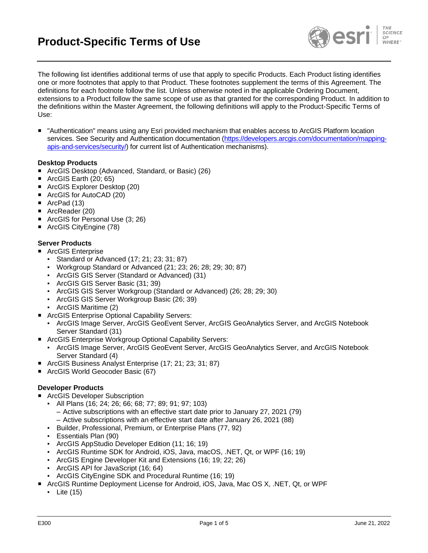

The following list identifies additional terms of use that apply to specific Products. Each Product listing identifies one or more footnotes that apply to that Product. These footnotes supplement the terms of this Agreement. The definitions for each footnote follow the list. Unless otherwise noted in the applicable Ordering Document, extensions to a Product follow the same scope of use as that granted for the corresponding Product. In addition to the definitions within the Master Agreement, the following definitions will apply to the Product-Specific Terms of Use:

 "Authentication" means using any Esri provided mechanism that enables access to ArcGIS Platform location services. See Security and Authentication documentation [\(https://developers.arcgis.com/documentation/mapping](https://developers.arcgis.com/documentation/mapping-apis-and-services/security/)[apis-and-services/security/\)](https://developers.arcgis.com/documentation/mapping-apis-and-services/security/) for current list of Authentication mechanisms).

### **Desktop Products**

- ArcGIS Desktop (Advanced, Standard, or Basic) (26)
- $\blacksquare$  ArcGIS Earth (20; 65)
- ArcGIS Explorer Desktop (20)
- ArcGIS for AutoCAD (20)
- ArcPad (13)
- ArcReader (20)
- ArcGIS for Personal Use (3; 26)
- ArcGIS CityEngine (78)

### **Server Products**

- ArcGIS Enterprise
	- Standard or Advanced (17; 21; 23; 31; 87)
	- Workgroup Standard or Advanced (21; 23; 26; 28; 29; 30; 87)
	- ArcGIS GIS Server (Standard or Advanced) (31)
	- ArcGIS GIS Server Basic (31; 39)
	- ArcGIS GIS Server Workgroup (Standard or Advanced) (26; 28; 29; 30)
	- ArcGIS GIS Server Workgroup Basic (26; 39)
	- ArcGIS Maritime (2)
- ArcGIS Enterprise Optional Capability Servers:
	- ArcGIS Image Server, ArcGIS GeoEvent Server, ArcGIS GeoAnalytics Server, and ArcGIS Notebook Server Standard (31)
- ArcGIS Enterprise Workgroup Optional Capability Servers:
	- ArcGIS Image Server, ArcGIS GeoEvent Server, ArcGIS GeoAnalytics Server, and ArcGIS Notebook Server Standard (4)
- ArcGIS Business Analyst Enterprise (17; 21; 23; 31; 87)
- ArcGIS World Geocoder Basic (67)

# **Developer Products**

- ArcGIS Developer Subscription
	- All Plans (16; 24; 26; 66; 68; 77; 89; 91; 97; 103)
		- Active subscriptions with an effective start date prior to January 27, 2021 (79)
		- Active subscriptions with an effective start date after January 26, 2021 (88)
	- Builder, Professional, Premium, or Enterprise Plans (77, 92)
	- Essentials Plan (90)
	- ArcGIS AppStudio Developer Edition (11; 16; 19)
	- ArcGIS Runtime SDK for Android, iOS, Java, macOS, .NET, Qt, or WPF (16; 19)
	- ArcGIS Engine Developer Kit and Extensions (16; 19; 22; 26)
	- ArcGIS API for JavaScript (16; 64)
	- ArcGIS CityEngine SDK and Procedural Runtime (16; 19)
- ArcGIS Runtime Deployment License for Android, iOS, Java, Mac OS X, .NET, Qt, or WPF
	- Lite (15)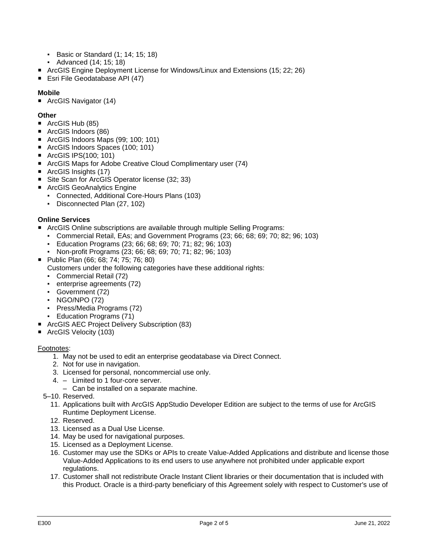- Basic or Standard (1; 14; 15; 18)
- Advanced (14; 15; 18)
- ArcGIS Engine Deployment License for Windows/Linux and Extensions (15: 22: 26)
- Esri File Geodatabase API (47)

# **Mobile**

■ ArcGIS Navigator (14)

## **Other**

- ArcGIS Hub (85)
- ArcGIS Indoors (86)
- ArcGIS Indoors Maps (99: 100: 101)
- ArcGIS Indoors Spaces (100; 101)
- ArcGIS IPS(100; 101)
- ArcGIS Maps for Adobe Creative Cloud Complimentary user (74)
- ArcGIS Insights (17)
- Site Scan for ArcGIS Operator license (32; 33)
- ArcGIS GeoAnalytics Engine
	- Connected, Additional Core-Hours Plans (103)
	- Disconnected Plan (27, 102)

## **Online Services**

- ArcGIS Online subscriptions are available through multiple Selling Programs:
	- Commercial Retail, EAs; and Government Programs (23; 66; 68; 69; 70; 82; 96; 103)
	- Education Programs (23; 66; 68; 69; 70; 71; 82; 96; 103)
	- Non-profit Programs (23; 66; 68; 69; 70; 71; 82; 96; 103)
- Public Plan (66; 68; 74; 75; 76; 80) Customers under the following categories have these additional rights:
	- Commercial Retail (72)
	- enterprise agreements (72)
	- Government (72)
	- NGO/NPO (72)
	- Press/Media Programs (72)
	- Education Programs (71)
- ArcGIS AEC Project Delivery Subscription (83)
- ArcGIS Velocity (103)

### Footnotes:

- 1. May not be used to edit an enterprise geodatabase via Direct Connect.
- 2. Not for use in navigation.
- 3. Licensed for personal, noncommercial use only.
- 4. Limited to 1 four-core server.
- Can be installed on a separate machine.
- 5–10. Reserved.
	- 11. Applications built with ArcGIS AppStudio Developer Edition are subject to the terms of use for ArcGIS Runtime Deployment License.
	- 12. Reserved.
	- 13. Licensed as a Dual Use License.
	- 14. May be used for navigational purposes.
	- 15. Licensed as a Deployment License.
	- 16. Customer may use the SDKs or APIs to create Value-Added Applications and distribute and license those Value-Added Applications to its end users to use anywhere not prohibited under applicable export regulations.
	- 17. Customer shall not redistribute Oracle Instant Client libraries or their documentation that is included with this Product. Oracle is a third-party beneficiary of this Agreement solely with respect to Customer's use of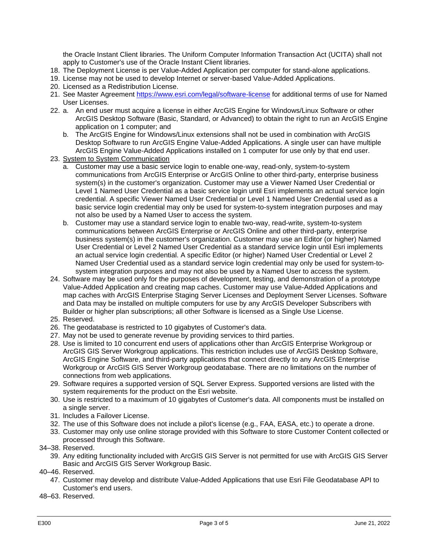the Oracle Instant Client libraries. The Uniform Computer Information Transaction Act (UCITA) shall not apply to Customer's use of the Oracle Instant Client libraries.

- 18. The Deployment License is per Value-Added Application per computer for stand-alone applications.
- 19. License may not be used to develop Internet or server-based Value-Added Applications.
- 20. Licensed as a Redistribution License.
- 21. See Master Agreement<https://www.esri.com/legal/software-license> for additional terms of use for Named User Licenses.
- 22. a. An end user must acquire a license in either ArcGIS Engine for Windows/Linux Software or other ArcGIS Desktop Software (Basic, Standard, or Advanced) to obtain the right to run an ArcGIS Engine application on 1 computer; and
	- b. The ArcGIS Engine for Windows/Linux extensions shall not be used in combination with ArcGIS Desktop Software to run ArcGIS Engine Value-Added Applications. A single user can have multiple ArcGIS Engine Value-Added Applications installed on 1 computer for use only by that end user.
- 23. System to System Communication
	- a. Customer may use a basic service login to enable one-way, read-only, system-to-system communications from ArcGIS Enterprise or ArcGIS Online to other third-party, enterprise business system(s) in the customer's organization. Customer may use a Viewer Named User Credential or Level 1 Named User Credential as a basic service login until Esri implements an actual service login credential. A specific Viewer Named User Credential or Level 1 Named User Credential used as a basic service login credential may only be used for system-to-system integration purposes and may not also be used by a Named User to access the system.
	- b. Customer may use a standard service login to enable two-way, read-write, system-to-system communications between ArcGIS Enterprise or ArcGIS Online and other third-party, enterprise business system(s) in the customer's organization. Customer may use an Editor (or higher) Named User Credential or Level 2 Named User Credential as a standard service login until Esri implements an actual service login credential. A specific Editor (or higher) Named User Credential or Level 2 Named User Credential used as a standard service login credential may only be used for system-tosystem integration purposes and may not also be used by a Named User to access the system.
- 24. Software may be used only for the purposes of development, testing, and demonstration of a prototype Value-Added Application and creating map caches. Customer may use Value-Added Applications and map caches with ArcGIS Enterprise Staging Server Licenses and Deployment Server Licenses. Software and Data may be installed on multiple computers for use by any ArcGIS Developer Subscribers with Builder or higher plan subscriptions; all other Software is licensed as a Single Use License.
- 25. Reserved.
- 26. The geodatabase is restricted to 10 gigabytes of Customer's data.
- 27. May not be used to generate revenue by providing services to third parties.
- 28. Use is limited to 10 concurrent end users of applications other than ArcGIS Enterprise Workgroup or ArcGIS GIS Server Workgroup applications. This restriction includes use of ArcGIS Desktop Software, ArcGIS Engine Software, and third-party applications that connect directly to any ArcGIS Enterprise Workgroup or ArcGIS GIS Server Workgroup geodatabase. There are no limitations on the number of connections from web applications.
- 29. Software requires a supported version of SQL Server Express. Supported versions are listed with the system requirements for the product on the Esri website.
- 30. Use is restricted to a maximum of 10 gigabytes of Customer's data. All components must be installed on a single server.
- 31. Includes a Failover License.
- 32. The use of this Software does not include a pilot's license (e.g., FAA, EASA, etc.) to operate a drone.
- 33. Customer may only use online storage provided with this Software to store Customer Content collected or processed through this Software.
- 34–38. Reserved.
	- 39. Any editing functionality included with ArcGIS GIS Server is not permitted for use with ArcGIS GIS Server Basic and ArcGIS GIS Server Workgroup Basic.
- 40–46. Reserved.
	- 47. Customer may develop and distribute Value-Added Applications that use Esri File Geodatabase API to Customer's end users.
- 48–63. Reserved.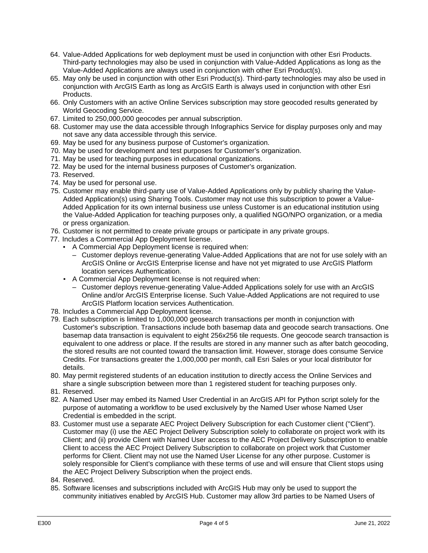- 64. Value-Added Applications for web deployment must be used in conjunction with other Esri Products. Third-party technologies may also be used in conjunction with Value-Added Applications as long as the Value-Added Applications are always used in conjunction with other Esri Product(s).
- 65. May only be used in conjunction with other Esri Product(s). Third-party technologies may also be used in conjunction with ArcGIS Earth as long as ArcGIS Earth is always used in conjunction with other Esri Products.
- 66. Only Customers with an active Online Services subscription may store geocoded results generated by World Geocoding Service.
- 67. Limited to 250,000,000 geocodes per annual subscription.
- 68. Customer may use the data accessible through Infographics Service for display purposes only and may not save any data accessible through this service.
- 69. May be used for any business purpose of Customer's organization.
- 70. May be used for development and test purposes for Customer's organization.
- 71. May be used for teaching purposes in educational organizations.
- 72. May be used for the internal business purposes of Customer's organization.
- 73. Reserved.
- 74. May be used for personal use.
- 75. Customer may enable third-party use of Value-Added Applications only by publicly sharing the Value-Added Application(s) using Sharing Tools. Customer may not use this subscription to power a Value-Added Application for its own internal business use unless Customer is an educational institution using the Value-Added Application for teaching purposes only, a qualified NGO/NPO organization, or a media or press organization.
- 76. Customer is not permitted to create private groups or participate in any private groups.
- 77. Includes a Commercial App Deployment license.
	- A Commercial App Deployment license is required when:
		- Customer deploys revenue-generating Value-Added Applications that are not for use solely with an ArcGIS Online or ArcGIS Enterprise license and have not yet migrated to use ArcGIS Platform location services Authentication.
	- A Commercial App Deployment license is not required when:
		- Customer deploys revenue-generating Value-Added Applications solely for use with an ArcGIS Online and/or ArcGIS Enterprise license. Such Value-Added Applications are not required to use ArcGIS Platform location services Authentication.
- 78. Includes a Commercial App Deployment license.
- 79. Each subscription is limited to 1,000,000 geosearch transactions per month in conjunction with Customer's subscription. Transactions include both basemap data and geocode search transactions. One basemap data transaction is equivalent to eight 256x256 tile requests. One geocode search transaction is equivalent to one address or place. If the results are stored in any manner such as after batch geocoding, the stored results are not counted toward the transaction limit. However, storage does consume Service Credits. For transactions greater the 1,000,000 per month, call Esri Sales or your local distributor for details.
- 80. May permit registered students of an education institution to directly access the Online Services and share a single subscription between more than 1 registered student for teaching purposes only.
- 81. Reserved.
- 82. A Named User may embed its Named User Credential in an ArcGIS API for Python script solely for the purpose of automating a workflow to be used exclusively by the Named User whose Named User Credential is embedded in the script.
- 83. Customer must use a separate AEC Project Delivery Subscription for each Customer client ("Client"). Customer may (i) use the AEC Project Delivery Subscription solely to collaborate on project work with its Client; and (ii) provide Client with Named User access to the AEC Project Delivery Subscription to enable Client to access the AEC Project Delivery Subscription to collaborate on project work that Customer performs for Client. Client may not use the Named User License for any other purpose. Customer is solely responsible for Client's compliance with these terms of use and will ensure that Client stops using the AEC Project Delivery Subscription when the project ends.
- 84. Reserved.
- 85. Software licenses and subscriptions included with ArcGIS Hub may only be used to support the community initiatives enabled by ArcGIS Hub. Customer may allow 3rd parties to be Named Users of